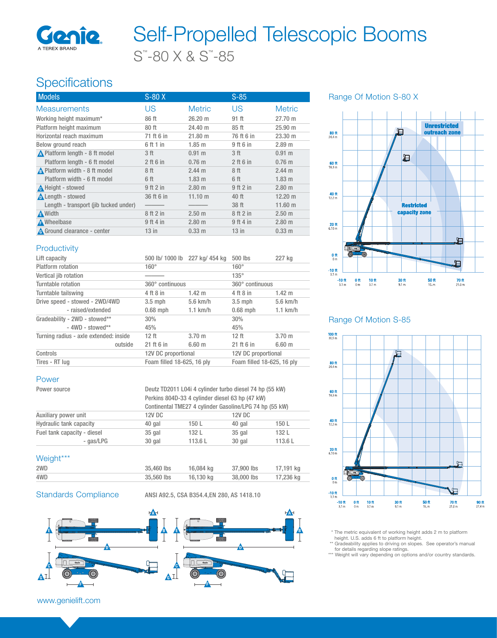

# S™ -80 X & S™ -85 Self-Propelled Telescopic Booms

# Specifications

| <b>Models</b>                         | $S-80X$         |                   | $S-85$           |                   |
|---------------------------------------|-----------------|-------------------|------------------|-------------------|
| <b>Measurements</b>                   | US              | <b>Metric</b>     | US               | <b>Metric</b>     |
| Working height maximum*               | 86 ft           | 26.20 m           | 91 ft            | 27.70 m           |
| Platform height maximum               | 80ft            | 24.40 m           | 85 <sub>ft</sub> | $25.90 \text{ m}$ |
| Horizontal reach maximum              | 71 ft 6 in      | $21.80 \text{ m}$ | 76 ft 6 in       | 23.30 m           |
| Below ground reach                    | 6 ft 1 in       | $1.85$ m          | 9 ft 6 in        | 2.89 m            |
| A Platform length - 8 ft model        | 3 <sub>ft</sub> | $0.91 \text{ m}$  | 3 ft             | $0.91 \text{ m}$  |
| Platform length - 6 ft model          | $2$ ft 6 in     | $0.76$ m          | $2$ ft 6 in      | $0.76$ m          |
| A Platform width - 8 ft model         | 8 ft            | $2.44 \text{ m}$  | 8 ft             | $2.44 \text{ m}$  |
| Platform width - 6 ft model           | 6 ft            | $1.83$ m          | 6 ft             | $1.83$ m          |
| A Height - stowed                     | $9$ ft $2$ in   | $2.80$ m          | 9 ft 2 in        | $2.80$ m          |
| <b>A</b> Length - stowed              | 36 ft 6 in      | $11.10 \text{ m}$ | 40 ft            | $12.20 \text{ m}$ |
| Length - transport (jib tucked under) |                 |                   | 38 ft            | $11.60 \; m$      |
| <b>A</b> Width                        | 8 ft 2 in       | $2.50 \text{ m}$  | 8 ft 2 in        | $2.50 \text{ m}$  |
| A Wheelbase                           | $9$ ft 4 in     | $2.80$ m          | 9 ft 4 in        | 2.80 m            |
| A Ground clearance - center           | $13$ in         | $0.33$ m          | $13$ in          | $0.33$ m          |

Range Of Motion S-80 X



#### **Productivity**

| Lift capacity                          |         |                            | 500 lb/ 1000 lb 227 kg/ 454 kg | 500 lbs                    | 227 kg           |
|----------------------------------------|---------|----------------------------|--------------------------------|----------------------------|------------------|
| Platform rotation                      |         | $160^\circ$                |                                | $160^\circ$                |                  |
| Vertical jib rotation                  |         |                            |                                | $135^\circ$                |                  |
| Turntable rotation                     |         | 360° continuous            |                                | 360° continuous            |                  |
| Turntable tailswing                    |         | 4 ft 8 in                  | $1.42 \; m$                    | 4 ft 8 in                  | $1.42 \text{ m}$ |
| Drive speed - stowed - 2WD/4WD         |         | $3.5$ mph                  | $5.6$ km/h                     | $3.5$ mph                  | $5.6$ km/h       |
| - raised/extended                      |         | $0.68$ mph                 | $1.1$ km/h                     | $0.68$ mph                 | $1.1$ km/h       |
| Gradeability - 2WD - stowed**          |         | 30%                        |                                | 30%                        |                  |
| $-4WD - stowed**$                      |         | 45%                        |                                | 45%                        |                  |
| Turning radius - axle extended: inside |         | 12 <sub>ft</sub>           | $3.70 \; m$                    | 12 <sub>ft</sub>           | $3.70 \;{\rm m}$ |
|                                        | outside | 21 ft 6 in                 | $6.60 \; m$                    | 21 ft 6 in                 | $6.60 \; m$      |
| Controls                               |         | 12V DC proportional        |                                | 12V DC proportional        |                  |
| Tires - RT lug                         |         | Foam filled 18-625, 16 ply |                                | Foam filled 18-625, 16 ply |                  |

#### Power

| Power source                   |               | Deutz TD2011 L04i 4 cylinder turbo diesel 74 hp (55 kW)<br>Perkins 804D-33 4 cylinder diesel 63 hp (47 kW)<br>Continental TME27 4 cylinder Gasoline/LPG 74 hp (55 kW) |        |        |  |
|--------------------------------|---------------|-----------------------------------------------------------------------------------------------------------------------------------------------------------------------|--------|--------|--|
| Auxiliary power unit           | <b>12V DC</b> |                                                                                                                                                                       | 12V DC |        |  |
| <b>Hydraulic tank capacity</b> | 40 gal        | 150 L                                                                                                                                                                 | 40 gal | 150 L  |  |
| Fuel tank capacity - diesel    | $35$ gal      | 132 L                                                                                                                                                                 | 35 gal | 132 L  |  |
| - gas/LPG                      | 30 gal        | 113.6L                                                                                                                                                                | 30 gal | 113.6L |  |

#### Weight\*\*\*

| .   |            |           |            |           |
|-----|------------|-----------|------------|-----------|
| 2WD | 35,460 lbs | 16.084 ka | 37,900 lbs | 17,191 kg |
| 4WD | 35,560 lbs | 16.130 ka | 38,000 lbs | 17,236 kg |
|     |            |           |            |           |

Standards Compliance ANSI A92.5, CSA B354.4,EN 280, AS 1418.10



Range Of Motion S-85



\* The metric equivalent of working height adds 2 m to platform height. U.S. adds 6 ft to platform height.

- \*\* Gradeability applies to driving on slopes. See operator's manual<br>for details regarding slope ratings.<br>\*\*\* Weight will vary depending on options and/or country standards.
- 

www.genielift.com